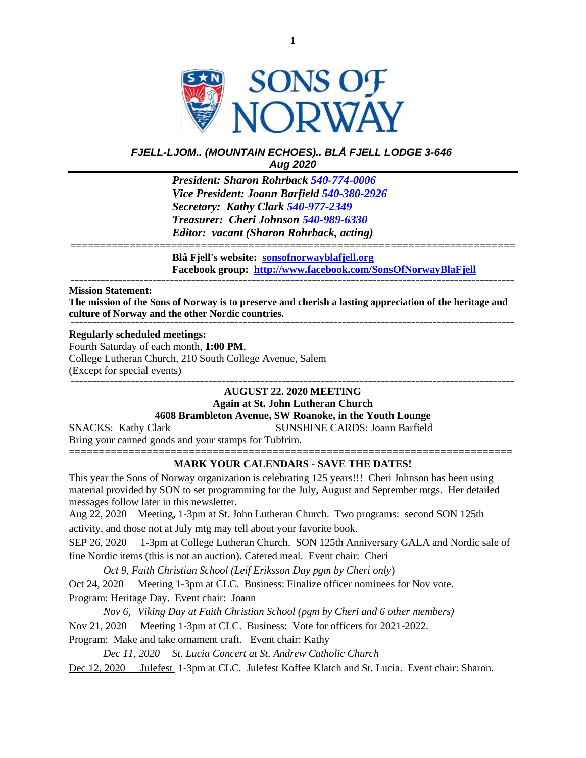

# *FJELL-LJOM.. (MOUNTAIN ECHOES).. BLÅ FJELL LODGE 3-646 Aug 2020*

*President: Sharon Rohrback [540-774-0006](tel:540-977-2349) Vice President: Joann Barfield [540-380-2926](tel:540-977-2349) Secretary: Kathy Clark [540-977-2349](tel:540-977-2349) Treasurer: Cheri Johnson [540-989-6330](tel:540-774-0006) Editor: vacant (Sharon Rohrback, acting)*

**Blå Fjell's website: [sonsofnorwayblafjell.org](http://222.sonsofnorwayblafjell.org/) Facebook group: <http://www.facebook.com/SonsOfNorwayBlaFjell>**

#### **Mission Statement:**

**The mission of the Sons of Norway is to preserve and cherish a lasting appreciation of the heritage and culture of Norway and the other Nordic countries.** =======================================================================================================

===========================================================================

=======================================================================================================

#### **Regularly scheduled meetings:**

Fourth Saturday of each month, **1:00 PM**, College Lutheran Church, 210 South College Avenue, Salem (Except for special events) =======================================================================================================

# **AUGUST 22. 2020 MEETING**

**Again at St. John Lutheran Church**

# **4608 Brambleton Avenue, SW Roanoke, in the Youth Lounge**

SNACKS: Kathy Clark SUNSHINE CARDS: Joann Barfield Bring your canned goods and your stamps for Tubfrim. **==========================================================================**

## **MARK YOUR CALENDARS - SAVE THE DATES!**

This year the Sons of Norway organization is celebrating 125 years!!! Cheri Johnson has been using material provided by SON to set programming for the July, August and September mtgs. Her detailed messages follow later in this newsletter.

Aug 22, 2020 Meeting, 1-3pm at St. John Lutheran Church. Two programs: second SON 125th activity, and those not at July mtg may tell about your favorite book.

SEP 26, 2020 1-3pm at College Lutheran Church. SON 125th Anniversary GALA and Nordic sale of fine Nordic items (this is not an auction). Catered meal. Event chair: Cheri

*Oct 9, Faith Christian School (Leif Eriksson Day pgm by Cheri only*)

Oct 24, 2020 Meeting 1-3pm at CLC. Business: Finalize officer nominees for Nov vote. Program: Heritage Day. Event chair: Joann

*Nov 6, Viking Day at Faith Christian School (pgm by Cheri and 6 other members)*

Nov 21, 2020 Meeting 1-3pm at CLC. Business: Vote for officers for 2021-2022.

Program: Make and take ornament craft. Event chair: Kathy

*Dec 11, 2020 St. Lucia Concert at St. Andrew Catholic Church* Dec 12, 2020 Julefest 1-3pm at CLC. Julefest Koffee Klatch and St. Lucia. Event chair: Sharon.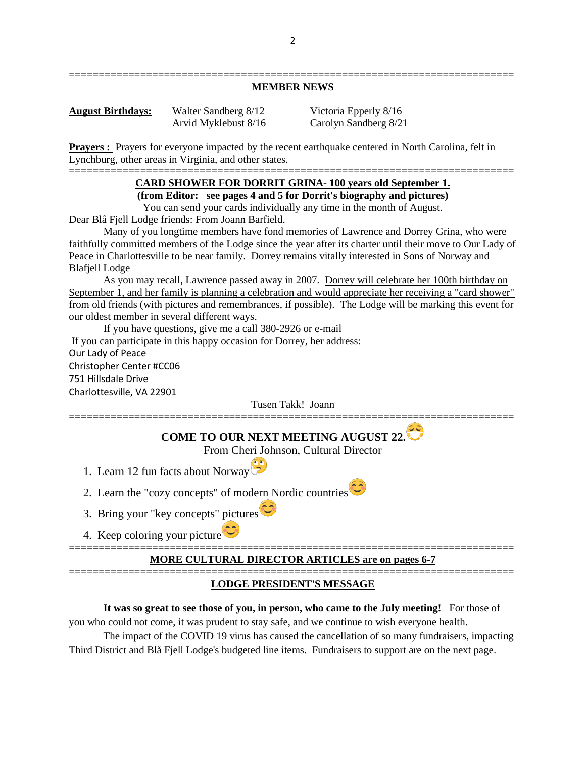## =========================================================================== **MEMBER NEWS**

**August Birthdays:** Walter Sandberg 8/12 Victoria Epperly 8/16 Arvid Myklebust 8/16 Carolyn Sandberg 8/21

**Prayers** : Prayers for everyone impacted by the recent earthquake centered in North Carolina, felt in Lynchburg, other areas in Virginia, and other states.

#### =========================================================================== **CARD SHOWER FOR DORRIT GRINA- 100 years old September 1.**

**(from Editor: see pages 4 and 5 for Dorrit's biography and pictures)**

You can send your cards individually any time in the month of August.

Dear Blå Fjell Lodge friends: From Joann Barfield.

Many of you longtime members have fond memories of Lawrence and Dorrey Grina, who were faithfully committed members of the Lodge since the year after its charter until their move to Our Lady of Peace in Charlottesville to be near family. Dorrey remains vitally interested in Sons of Norway and Blafjell Lodge

As you may recall, Lawrence passed away in 2007. Dorrey will celebrate her 100th birthday on September 1, and her family is planning a celebration and would appreciate her receiving a "card shower" from old friends (with pictures and remembrances, if possible). The Lodge will be marking this event for our oldest member in several different ways.

If you have questions, give me a call 380-2926 or e-mail If you can participate in this happy occasion for Dorrey, her address: Our Lady of Peace Christopher Center #CC06 751 Hillsdale Drive Charlottesville, VA 22901

Tusen Takk! Joann ===========================================================================

**COME TO OUR NEXT MEETING AUGUST 22.**

From Cheri Johnson, Cultural Director

- 1. Learn 12 fun facts about Norway
- 2. Learn the "cozy concepts" of modern Nordic countries
- 3. Bring your "key concepts" pictures
- 4. Keep coloring your picture

## =========================================================================== **MORE CULTURAL DIRECTOR ARTICLES are on pages 6-7**

## =========================================================================== **LODGE PRESIDENT'S MESSAGE**

**It was so great to see those of you, in person, who came to the July meeting!** For those of you who could not come, it was prudent to stay safe, and we continue to wish everyone health.

The impact of the COVID 19 virus has caused the cancellation of so many fundraisers, impacting Third District and Blå Fjell Lodge's budgeted line items. Fundraisers to support are on the next page.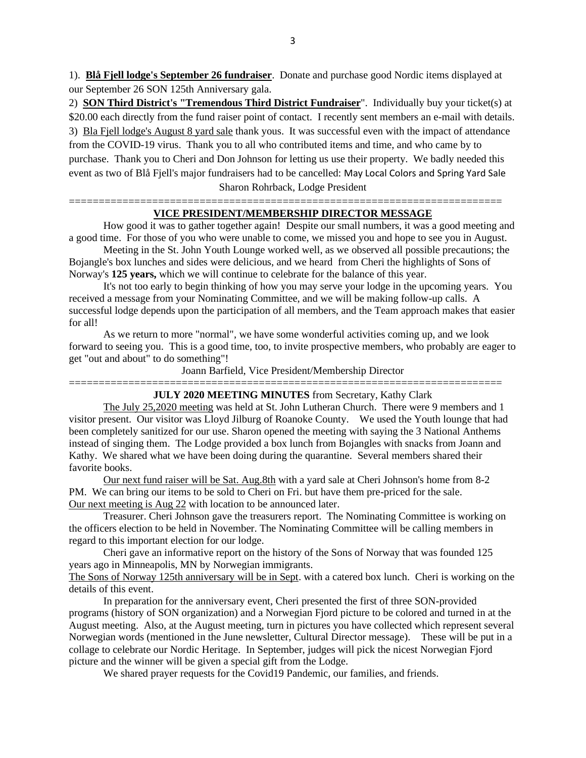1). **Blå Fjell lodge's September 26 fundraiser**. Donate and purchase good Nordic items displayed at our September 26 SON 125th Anniversary gala.

2) **SON Third District's "Tremendous Third District Fundraiser**". Individually buy your ticket(s) at \$20.00 each directly from the fund raiser point of contact. I recently sent members an e-mail with details. 3) Bla Fjell lodge's August 8 yard sale thank yous. It was successful even with the impact of attendance from the COVID-19 virus. Thank you to all who contributed items and time, and who came by to purchase. Thank you to Cheri and Don Johnson for letting us use their property. We badly needed this event as two of Blå Fjell's major fundraisers had to be cancelled: May Local Colors and Spring Yard Sale Sharon Rohrback, Lodge President

#### ========================================================================= **VICE PRESIDENT/MEMBERSHIP DIRECTOR MESSAGE**

How good it was to gather together again! Despite our small numbers, it was a good meeting and a good time. For those of you who were unable to come, we missed you and hope to see you in August.

Meeting in the St. John Youth Lounge worked well, as we observed all possible precautions; the Bojangle's box lunches and sides were delicious, and we heard from Cheri the highlights of Sons of Norway's **125 years,** which we will continue to celebrate for the balance of this year.

It's not too early to begin thinking of how you may serve your lodge in the upcoming years. You received a message from your Nominating Committee, and we will be making follow-up calls. A successful lodge depends upon the participation of all members, and the Team approach makes that easier for all!

As we return to more "normal", we have some wonderful activities coming up, and we look forward to seeing you. This is a good time, too, to invite prospective members, who probably are eager to get "out and about" to do something"!

Joann Barfield, Vice President/Membership Director

#### ========================================================================= **JULY 2020 MEETING MINUTES** from Secretary, Kathy Clark

The July 25,2020 meeting was held at St. John Lutheran Church. There were 9 members and 1 visitor present. Our visitor was Lloyd Jilburg of Roanoke County. We used the Youth lounge that had been completely sanitized for our use. Sharon opened the meeting with saying the 3 National Anthems instead of singing them. The Lodge provided a box lunch from Bojangles with snacks from Joann and Kathy. We shared what we have been doing during the quarantine. Several members shared their favorite books.

Our next fund raiser will be Sat. Aug.8th with a yard sale at Cheri Johnson's home from 8-2 PM. We can bring our items to be sold to Cheri on Fri. but have them pre-priced for the sale. Our next meeting is Aug 22 with location to be announced later.

Treasurer. Cheri Johnson gave the treasurers report. The Nominating Committee is working on the officers election to be held in November. The Nominating Committee will be calling members in regard to this important election for our lodge.

Cheri gave an informative report on the history of the Sons of Norway that was founded 125 years ago in Minneapolis, MN by Norwegian immigrants.

The Sons of Norway 125th anniversary will be in Sept. with a catered box lunch. Cheri is working on the details of this event.

In preparation for the anniversary event, Cheri presented the first of three SON-provided programs (history of SON organization) and a Norwegian Fjord picture to be colored and turned in at the August meeting. Also, at the August meeting, turn in pictures you have collected which represent several Norwegian words (mentioned in the June newsletter, Cultural Director message). These will be put in a collage to celebrate our Nordic Heritage. In September, judges will pick the nicest Norwegian Fjord picture and the winner will be given a special gift from the Lodge.

We shared prayer requests for the Covid19 Pandemic, our families, and friends.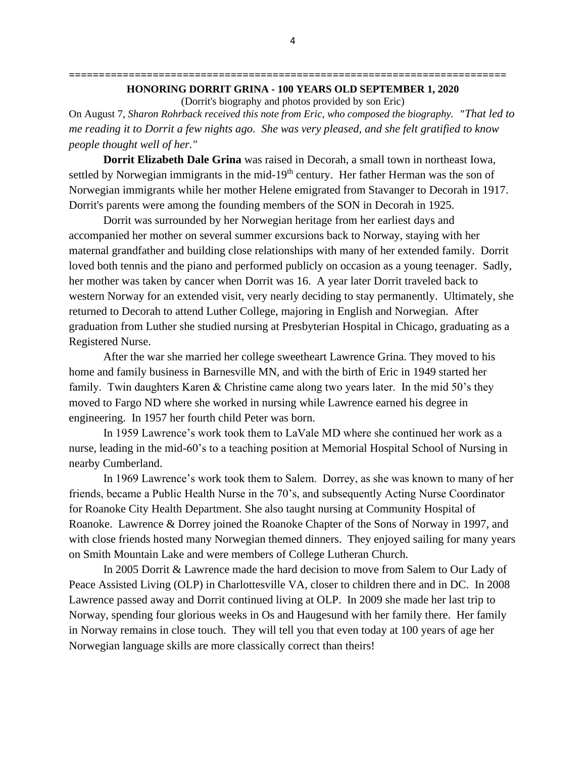# **========================================================================= HONORING DORRIT GRINA - 100 YEARS OLD SEPTEMBER 1, 2020**

(Dorrit's biography and photos provided by son Eric)

On August 7, *Sharon Rohrback received this note from Eric, who composed the biography. "That led to me reading it to Dorrit a few nights ago. She was very pleased, and she felt gratified to know people thought well of her."*

**Dorrit Elizabeth Dale Grina** was raised in Decorah, a small town in northeast Iowa, settled by Norwegian immigrants in the mid-19<sup>th</sup> century. Her father Herman was the son of Norwegian immigrants while her mother Helene emigrated from Stavanger to Decorah in 1917. Dorrit's parents were among the founding members of the SON in Decorah in 1925.

Dorrit was surrounded by her Norwegian heritage from her earliest days and accompanied her mother on several summer excursions back to Norway, staying with her maternal grandfather and building close relationships with many of her extended family. Dorrit loved both tennis and the piano and performed publicly on occasion as a young teenager. Sadly, her mother was taken by cancer when Dorrit was 16. A year later Dorrit traveled back to western Norway for an extended visit, very nearly deciding to stay permanently. Ultimately, she returned to Decorah to attend Luther College, majoring in English and Norwegian. After graduation from Luther she studied nursing at Presbyterian Hospital in Chicago, graduating as a Registered Nurse.

After the war she married her college sweetheart Lawrence Grina. They moved to his home and family business in Barnesville MN, and with the birth of Eric in 1949 started her family. Twin daughters Karen & Christine came along two years later. In the mid 50's they moved to Fargo ND where she worked in nursing while Lawrence earned his degree in engineering. In 1957 her fourth child Peter was born.

In 1959 Lawrence's work took them to LaVale MD where she continued her work as a nurse, leading in the mid-60's to a teaching position at Memorial Hospital School of Nursing in nearby Cumberland.

In 1969 Lawrence's work took them to Salem. Dorrey, as she was known to many of her friends, became a Public Health Nurse in the 70's, and subsequently Acting Nurse Coordinator for Roanoke City Health Department. She also taught nursing at Community Hospital of Roanoke. Lawrence & Dorrey joined the Roanoke Chapter of the Sons of Norway in 1997, and with close friends hosted many Norwegian themed dinners. They enjoyed sailing for many years on Smith Mountain Lake and were members of College Lutheran Church.

In 2005 Dorrit & Lawrence made the hard decision to move from Salem to Our Lady of Peace Assisted Living (OLP) in Charlottesville VA, closer to children there and in DC. In 2008 Lawrence passed away and Dorrit continued living at OLP. In 2009 she made her last trip to Norway, spending four glorious weeks in Os and Haugesund with her family there. Her family in Norway remains in close touch. They will tell you that even today at 100 years of age her Norwegian language skills are more classically correct than theirs!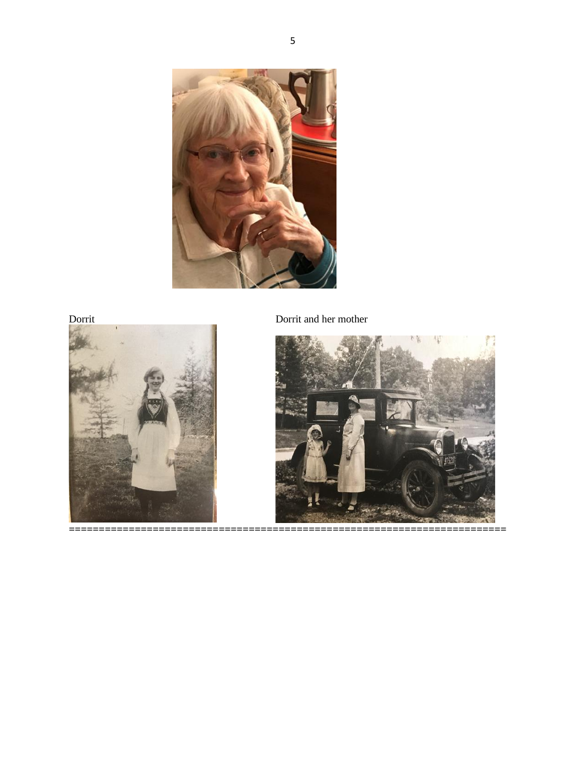

Dorrit

 $=$ 



Dorrit and her mother

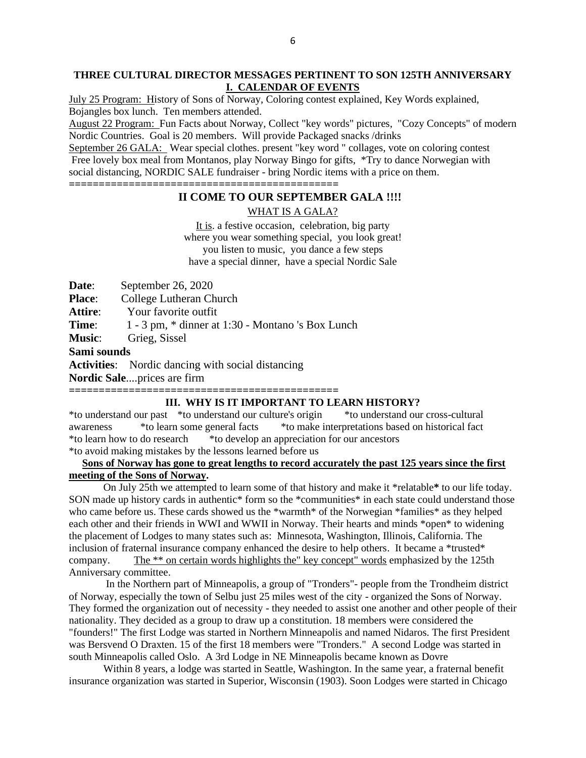## **THREE CULTURAL DIRECTOR MESSAGES PERTINENT TO SON 125TH ANNIVERSARY I. CALENDAR OF EVENTS**

July 25 Program: History of Sons of Norway, Coloring contest explained, Key Words explained, Bojangles box lunch. Ten members attended.

August 22 Program: Fun Facts about Norway, Collect "key words" pictures, "Cozy Concepts" of modern Nordic Countries. Goal is 20 members. Will provide Packaged snacks /drinks

September 26 GALA: Wear special clothes. present "key word " collages, vote on coloring contest Free lovely box meal from Montanos, play Norway Bingo for gifts, \*Try to dance Norwegian with social distancing, NORDIC SALE fundraiser - bring Nordic items with a price on them.

**=============================================**

# **II COME TO OUR SEPTEMBER GALA !!!!**

WHAT IS A GALA?

It is. a festive occasion, celebration, big party where you wear something special, you look great! you listen to music, you dance a few steps have a special dinner, have a special Nordic Sale

**Date**: September 26, 2020

**Place:** College Lutheran Church

**Attire**: Your favorite outfit

**Time**: 1 - 3 pm,  $*$  dinner at 1:30 - Montano 's Box Lunch

**Music**: Grieg, Sissel

**Sami sounds**

**Activities**: Nordic dancing with social distancing

**Nordic Sale**....prices are firm

## **============================================= III. WHY IS IT IMPORTANT TO LEARN HISTORY?**

\*to understand our past \*to understand our culture's origin \*to understand our cross-cultural awareness \*to learn some general facts \*to make interpretations based on historical fact \*to learn how to do research \*to develop an appreciation for our ancestors \*to avoid making mistakes by the lessons learned before us

# **Sons of Norway has gone to great lengths to record accurately the past 125 years since the first meeting of the Sons of Norway.**

On July 25th we attempted to learn some of that history and make it \*relatable**\*** to our life today. SON made up history cards in authentic\* form so the \*communities\* in each state could understand those who came before us. These cards showed us the \*warmth\* of the Norwegian \*families\* as they helped each other and their friends in WWI and WWII in Norway. Their hearts and minds \*open\* to widening the placement of Lodges to many states such as: Minnesota, Washington, Illinois, California. The inclusion of fraternal insurance company enhanced the desire to help others. It became a \*trusted\* company. The \*\* on certain words highlights the" key concept" words emphasized by the 125th Anniversary committee.

In the Northern part of Minneapolis, a group of "Tronders"- people from the Trondheim district of Norway, especially the town of Selbu just 25 miles west of the city - organized the Sons of Norway. They formed the organization out of necessity - they needed to assist one another and other people of their nationality. They decided as a group to draw up a constitution. 18 members were considered the "founders!" The first Lodge was started in Northern Minneapolis and named Nidaros. The first President was Bersvend O Draxten. 15 of the first 18 members were "Tronders." A second Lodge was started in south Minneapolis called Oslo. A 3rd Lodge in NE Minneapolis became known as Dovre

Within 8 years, a lodge was started in Seattle, Washington. In the same year, a fraternal benefit insurance organization was started in Superior, Wisconsin (1903). Soon Lodges were started in Chicago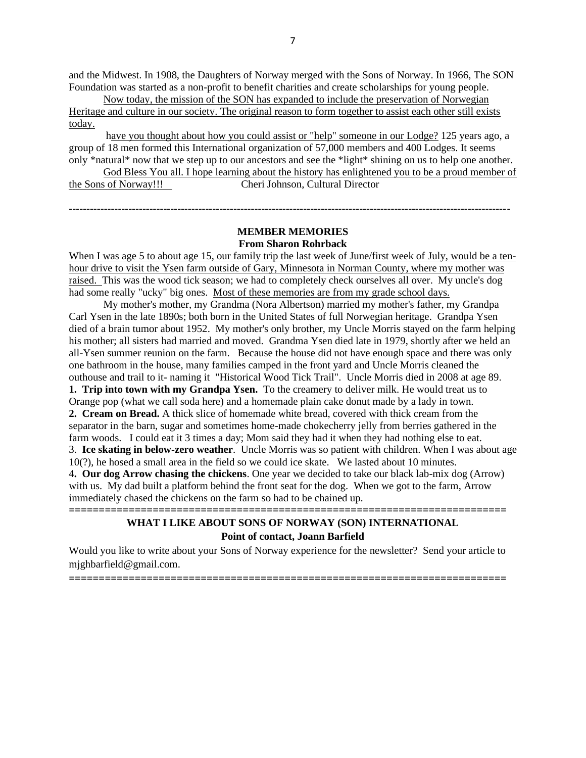and the Midwest. In 1908, the Daughters of Norway merged with the Sons of Norway. In 1966, The SON Foundation was started as a non-profit to benefit charities and create scholarships for young people.

Now today, the mission of the SON has expanded to include the preservation of Norwegian Heritage and culture in our society. The original reason to form together to assist each other still exists today.

have you thought about how you could assist or "help" someone in our Lodge? 125 years ago, a group of 18 men formed this International organization of 57,000 members and 400 Lodges. It seems only \*natural\* now that we step up to our ancestors and see the \*light\* shining on us to help one another. God Bless You all. I hope learning about the history has enlightened you to be a proud member of

the Sons of Norway!!! Cheri Johnson, Cultural Director

## **MEMBER MEMORIES From Sharon Rohrback**

**------------------------------------------------------------------------------------------------------------------------------**

When I was age 5 to about age 15, our family trip the last week of June/first week of July, would be a tenhour drive to visit the Ysen farm outside of Gary, Minnesota in Norman County, where my mother was raised. This was the wood tick season; we had to completely check ourselves all over. My uncle's dog had some really "ucky" big ones. Most of these memories are from my grade school days.

My mother's mother, my Grandma (Nora Albertson) married my mother's father, my Grandpa Carl Ysen in the late 1890s; both born in the United States of full Norwegian heritage. Grandpa Ysen died of a brain tumor about 1952. My mother's only brother, my Uncle Morris stayed on the farm helping his mother; all sisters had married and moved. Grandma Ysen died late in 1979, shortly after we held an all-Ysen summer reunion on the farm. Because the house did not have enough space and there was only one bathroom in the house, many families camped in the front yard and Uncle Morris cleaned the outhouse and trail to it- naming it "Historical Wood Tick Trail". Uncle Morris died in 2008 at age 89. **1. Trip into town with my Grandpa Ysen.** To the creamery to deliver milk. He would treat us to Orange pop (what we call soda here) and a homemade plain cake donut made by a lady in town. **2. Cream on Bread.** A thick slice of homemade white bread, covered with thick cream from the separator in the barn, sugar and sometimes home-made chokecherry jelly from berries gathered in the farm woods. I could eat it 3 times a day; Mom said they had it when they had nothing else to eat. 3. **Ice skating in below-zero weather**. Uncle Morris was so patient with children. When I was about age 10(?), he hosed a small area in the field so we could ice skate. We lasted about 10 minutes. 4**. Our dog Arrow chasing the chickens**. One year we decided to take our black lab-mix dog (Arrow) with us. My dad built a platform behind the front seat for the dog. When we got to the farm, Arrow immediately chased the chickens on the farm so had to be chained up.

# **WHAT I LIKE ABOUT SONS OF NORWAY (SON) INTERNATIONAL Point of contact, Joann Barfield**

**=========================================================================**

Would you like to write about your Sons of Norway experience for the newsletter? Send your article to mjghbarfield@gmail.com.

**=========================================================================**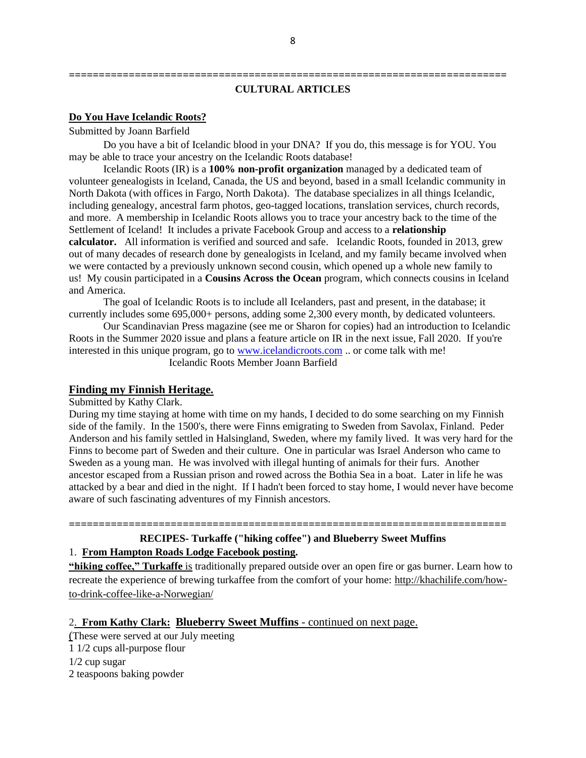# **CULTURAL ARTICLES**

**=========================================================================**

#### **Do You Have Icelandic Roots?**

Submitted by Joann Barfield

Do you have a bit of Icelandic blood in your DNA? If you do, this message is for YOU. You may be able to trace your ancestry on the Icelandic Roots database!

Icelandic Roots (IR) is a **100% non-profit organization** managed by a dedicated team of volunteer genealogists in Iceland, Canada, the US and beyond, based in a small Icelandic community in North Dakota (with offices in Fargo, North Dakota). The database specializes in all things Icelandic, including genealogy, ancestral farm photos, geo-tagged locations, translation services, church records, and more. A membership in Icelandic Roots allows you to trace your ancestry back to the time of the Settlement of Iceland! It includes a private Facebook Group and access to a **relationship calculator.** All information is verified and sourced and safe. Icelandic Roots, founded in 2013, grew out of many decades of research done by genealogists in Iceland, and my family became involved when we were contacted by a previously unknown second cousin, which opened up a whole new family to us! My cousin participated in a **Cousins Across the Ocean** program, which connects cousins in Iceland and America.

The goal of Icelandic Roots is to include all Icelanders, past and present, in the database; it currently includes some 695,000+ persons, adding some 2,300 every month, by dedicated volunteers.

Our Scandinavian Press magazine (see me or Sharon for copies) had an introduction to Icelandic Roots in the Summer 2020 issue and plans a feature article on IR in the next issue, Fall 2020. If you're interested in this unique program, go to [www.icelandicroots.com](http://www.icelandicroots.com/) .. or come talk with me! Icelandic Roots Member Joann Barfield

## **Finding my Finnish Heritage.**

Submitted by Kathy Clark.

During my time staying at home with time on my hands, I decided to do some searching on my Finnish side of the family. In the 1500's, there were Finns emigrating to Sweden from Savolax, Finland. Peder Anderson and his family settled in Halsingland, Sweden, where my family lived. It was very hard for the Finns to become part of Sweden and their culture. One in particular was Israel Anderson who came to Sweden as a young man. He was involved with illegal hunting of animals for their furs. Another ancestor escaped from a Russian prison and rowed across the Bothia Sea in a boat. Later in life he was attacked by a bear and died in the night. If I hadn't been forced to stay home, I would never have become aware of such fascinating adventures of my Finnish ancestors.

**RECIPES- Turkaffe ("hiking coffee") and Blueberry Sweet Muffins** 1. **From Hampton Roads Lodge Facebook posting.**

**=========================================================================**

**"hiking coffee," Turkaffe** is traditionally prepared outside over an open fire or gas burner. Learn how to recreate the experience of brewing turkaffee from the comfort of your home: [http://khachilife.com/how](http://khachilife.com/how-to-drink-coffee-like-a-norwegian/?fbclid=IwAR1cCnDnuSip-qk8QQjOYvqpy1L24WA94MN3ptmewnjgQiryn992DFAzO9Y)[to-drink-coffee-like-a-Norwegian/](http://khachilife.com/how-to-drink-coffee-like-a-norwegian/?fbclid=IwAR1cCnDnuSip-qk8QQjOYvqpy1L24WA94MN3ptmewnjgQiryn992DFAzO9Y)

## 2. **From Kathy Clark: Blueberry Sweet Muffins** - continued on next page.

(These were served at our July meeting 1 1/2 cups all-purpose flour 1/2 cup sugar 2 teaspoons baking powder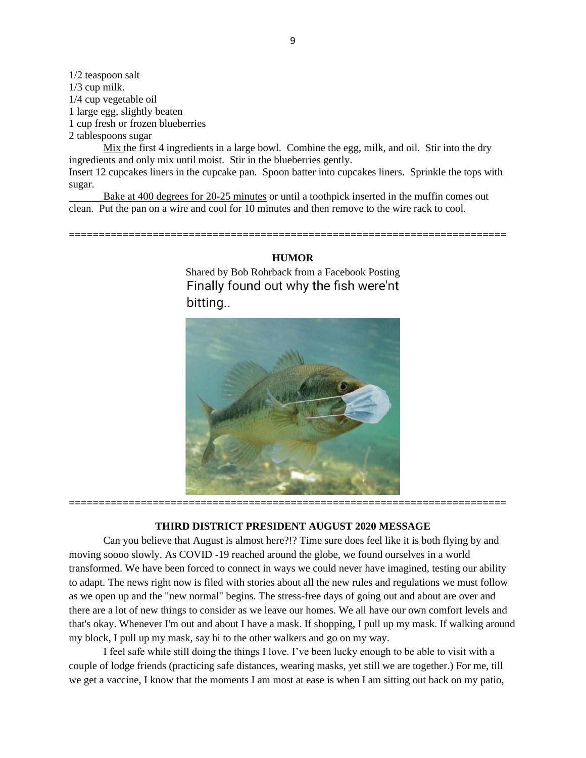1/2 teaspoon salt 1/3 cup milk. 1/4 cup vegetable oil 1 large egg, slightly beaten 1 cup fresh or frozen blueberries 2 tablespoons sugar

Mix the first 4 ingredients in a large bowl. Combine the egg, milk, and oil. Stir into the dry ingredients and only mix until moist. Stir in the blueberries gently.

Insert 12 cupcakes liners in the cupcake pan. Spoon batter into cupcakes liners. Sprinkle the tops with sugar.

Bake at 400 degrees for 20-25 minutes or until a toothpick inserted in the muffin comes out clean. Put the pan on a wire and cool for 10 minutes and then remove to the wire rack to cool.

#### **HUMOR**

**=========================================================================**

Shared by Bob Rohrback from a Facebook Posting Finally found out why the fish were'nt bitting..



## **THIRD DISTRICT PRESIDENT AUGUST 2020 MESSAGE**

Can you believe that August is almost here?!? Time sure does feel like it is both flying by and moving soooo slowly. As COVID -19 reached around the globe, we found ourselves in a world transformed. We have been forced to connect in ways we could never have imagined, testing our ability to adapt. The news right now is filed with stories about all the new rules and regulations we must follow as we open up and the "new normal" begins. The stress-free days of going out and about are over and there are a lot of new things to consider as we leave our homes. We all have our own comfort levels and that's okay. Whenever I'm out and about I have a mask. If shopping, I pull up my mask. If walking around my block, I pull up my mask, say hi to the other walkers and go on my way.

I feel safe while still doing the things I love. I've been lucky enough to be able to visit with a couple of lodge friends (practicing safe distances, wearing masks, yet still we are together.) For me, till we get a vaccine, I know that the moments I am most at ease is when I am sitting out back on my patio,